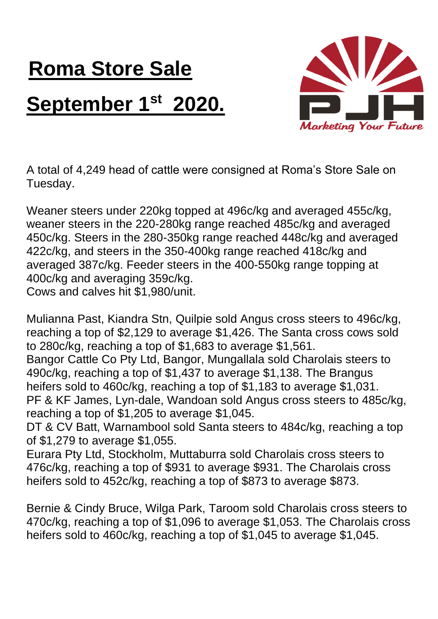## **Roma Store Sale September 1st 2020.**



A total of 4,249 head of cattle were consigned at Roma's Store Sale on Tuesday.

Weaner steers under 220kg topped at 496c/kg and averaged 455c/kg, weaner steers in the 220-280kg range reached 485c/kg and averaged 450c/kg. Steers in the 280-350kg range reached 448c/kg and averaged 422c/kg, and steers in the 350-400kg range reached 418c/kg and averaged 387c/kg. Feeder steers in the 400-550kg range topping at 400c/kg and averaging 359c/kg. Cows and calves hit \$1,980/unit.

Mulianna Past, Kiandra Stn, Quilpie sold Angus cross steers to 496c/kg, reaching a top of \$2,129 to average \$1,426. The Santa cross cows sold to 280c/kg, reaching a top of \$1,683 to average \$1,561.

Bangor Cattle Co Pty Ltd, Bangor, Mungallala sold Charolais steers to 490c/kg, reaching a top of \$1,437 to average \$1,138. The Brangus heifers sold to 460c/kg, reaching a top of \$1,183 to average \$1,031. PF & KF James, Lyn-dale, Wandoan sold Angus cross steers to 485c/kg, reaching a top of \$1,205 to average \$1,045.

DT & CV Batt, Warnambool sold Santa steers to 484c/kg, reaching a top of \$1,279 to average \$1,055.

Eurara Pty Ltd, Stockholm, Muttaburra sold Charolais cross steers to 476c/kg, reaching a top of \$931 to average \$931. The Charolais cross heifers sold to 452c/kg, reaching a top of \$873 to average \$873.

Bernie & Cindy Bruce, Wilga Park, Taroom sold Charolais cross steers to 470c/kg, reaching a top of \$1,096 to average \$1,053. The Charolais cross heifers sold to 460c/kg, reaching a top of \$1,045 to average \$1,045.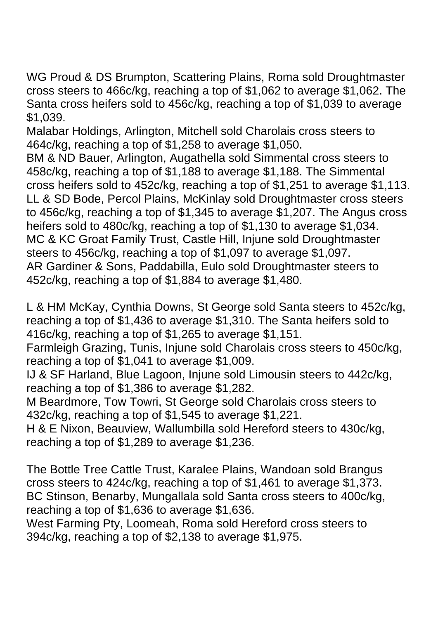WG Proud & DS Brumpton, Scattering Plains, Roma sold Droughtmaster cross steers to 466c/kg, reaching a top of \$1,062 to average \$1,062. The Santa cross heifers sold to 456c/kg, reaching a top of \$1,039 to average \$1,039.

Malabar Holdings, Arlington, Mitchell sold Charolais cross steers to 464c/kg, reaching a top of \$1,258 to average \$1,050.

BM & ND Bauer, Arlington, Augathella sold Simmental cross steers to 458c/kg, reaching a top of \$1,188 to average \$1,188. The Simmental cross heifers sold to 452c/kg, reaching a top of \$1,251 to average \$1,113. LL & SD Bode, Percol Plains, McKinlay sold Droughtmaster cross steers to 456c/kg, reaching a top of \$1,345 to average \$1,207. The Angus cross heifers sold to 480c/kg, reaching a top of \$1,130 to average \$1,034. MC & KC Groat Family Trust, Castle Hill, Injune sold Droughtmaster steers to 456c/kg, reaching a top of \$1,097 to average \$1,097. AR Gardiner & Sons, Paddabilla, Eulo sold Droughtmaster steers to 452c/kg, reaching a top of \$1,884 to average \$1,480.

L & HM McKay, Cynthia Downs, St George sold Santa steers to 452c/kg, reaching a top of \$1,436 to average \$1,310. The Santa heifers sold to 416c/kg, reaching a top of \$1,265 to average \$1,151.

Farmleigh Grazing, Tunis, Injune sold Charolais cross steers to 450c/kg, reaching a top of \$1,041 to average \$1,009.

IJ & SF Harland, Blue Lagoon, Injune sold Limousin steers to 442c/kg, reaching a top of \$1,386 to average \$1,282.

M Beardmore, Tow Towri, St George sold Charolais cross steers to 432c/kg, reaching a top of \$1,545 to average \$1,221.

H & E Nixon, Beauview, Wallumbilla sold Hereford steers to 430c/kg, reaching a top of \$1,289 to average \$1,236.

The Bottle Tree Cattle Trust, Karalee Plains, Wandoan sold Brangus cross steers to 424c/kg, reaching a top of \$1,461 to average \$1,373. BC Stinson, Benarby, Mungallala sold Santa cross steers to 400c/kg, reaching a top of \$1,636 to average \$1,636.

West Farming Pty, Loomeah, Roma sold Hereford cross steers to 394c/kg, reaching a top of \$2,138 to average \$1,975.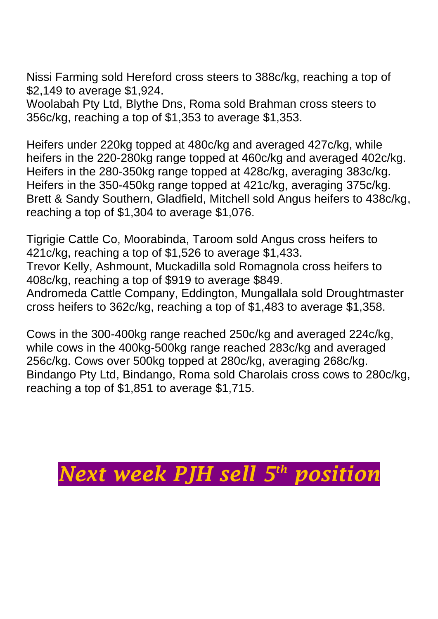Nissi Farming sold Hereford cross steers to 388c/kg, reaching a top of \$2,149 to average \$1,924.

Woolabah Pty Ltd, Blythe Dns, Roma sold Brahman cross steers to 356c/kg, reaching a top of \$1,353 to average \$1,353.

Heifers under 220kg topped at 480c/kg and averaged 427c/kg, while heifers in the 220-280kg range topped at 460c/kg and averaged 402c/kg. Heifers in the 280-350kg range topped at 428c/kg, averaging 383c/kg. Heifers in the 350-450kg range topped at 421c/kg, averaging 375c/kg. Brett & Sandy Southern, Gladfield, Mitchell sold Angus heifers to 438c/kg, reaching a top of \$1,304 to average \$1,076.

Tigrigie Cattle Co, Moorabinda, Taroom sold Angus cross heifers to 421c/kg, reaching a top of \$1,526 to average \$1,433. Trevor Kelly, Ashmount, Muckadilla sold Romagnola cross heifers to 408c/kg, reaching a top of \$919 to average \$849. Andromeda Cattle Company, Eddington, Mungallala sold Droughtmaster cross heifers to 362c/kg, reaching a top of \$1,483 to average \$1,358.

Cows in the 300-400kg range reached 250c/kg and averaged 224c/kg, while cows in the 400kg-500kg range reached 283c/kg and averaged 256c/kg. Cows over 500kg topped at 280c/kg, averaging 268c/kg. Bindango Pty Ltd, Bindango, Roma sold Charolais cross cows to 280c/kg, reaching a top of \$1,851 to average \$1,715.

## *Next week PJH sell 5 th position*